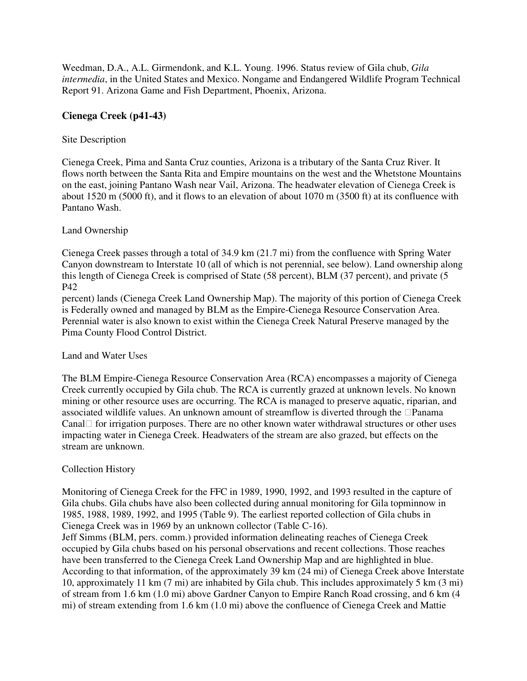Weedman, D.A., A.L. Girmendonk, and K.L. Young. 1996. Status review of Gila chub, *Gila intermedia*, in the United States and Mexico. Nongame and Endangered Wildlife Program Technical Report 91. Arizona Game and Fish Department, Phoenix, Arizona.

# **Cienega Creek (p41-43)**

## Site Description

Cienega Creek, Pima and Santa Cruz counties, Arizona is a tributary of the Santa Cruz River. It flows north between the Santa Rita and Empire mountains on the west and the Whetstone Mountains on the east, joining Pantano Wash near Vail, Arizona. The headwater elevation of Cienega Creek is about 1520 m (5000 ft), and it flows to an elevation of about 1070 m (3500 ft) at its confluence with Pantano Wash.

### Land Ownership

Cienega Creek passes through a total of 34.9 km (21.7 mi) from the confluence with Spring Water Canyon downstream to Interstate 10 (all of which is not perennial, see below). Land ownership along this length of Cienega Creek is comprised of State (58 percent), BLM (37 percent), and private (5 P42

percent) lands (Cienega Creek Land Ownership Map). The majority of this portion of Cienega Creek is Federally owned and managed by BLM as the Empire-Cienega Resource Conservation Area. Perennial water is also known to exist within the Cienega Creek Natural Preserve managed by the Pima County Flood Control District.

#### Land and Water Uses

The BLM Empire-Cienega Resource Conservation Area (RCA) encompasses a majority of Cienega Creek currently occupied by Gila chub. The RCA is currently grazed at unknown levels. No known mining or other resource uses are occurring. The RCA is managed to preserve aquatic, riparian, and associated wildlife values. An unknown amount of streamflow is diverted through the Panama Canal for irrigation purposes. There are no other known water withdrawal structures or other uses impacting water in Cienega Creek. Headwaters of the stream are also grazed, but effects on the stream are unknown.

## Collection History

Monitoring of Cienega Creek for the FFC in 1989, 1990, 1992, and 1993 resulted in the capture of Gila chubs. Gila chubs have also been collected during annual monitoring for Gila topminnow in 1985, 1988, 1989, 1992, and 1995 (Table 9). The earliest reported collection of Gila chubs in Cienega Creek was in 1969 by an unknown collector (Table C-16).

Jeff Simms (BLM, pers. comm.) provided information delineating reaches of Cienega Creek occupied by Gila chubs based on his personal observations and recent collections. Those reaches have been transferred to the Cienega Creek Land Ownership Map and are highlighted in blue. According to that information, of the approximately 39 km (24 mi) of Cienega Creek above Interstate 10, approximately 11 km (7 mi) are inhabited by Gila chub. This includes approximately 5 km (3 mi) of stream from 1.6 km (1.0 mi) above Gardner Canyon to Empire Ranch Road crossing, and 6 km (4 mi) of stream extending from 1.6 km (1.0 mi) above the confluence of Cienega Creek and Mattie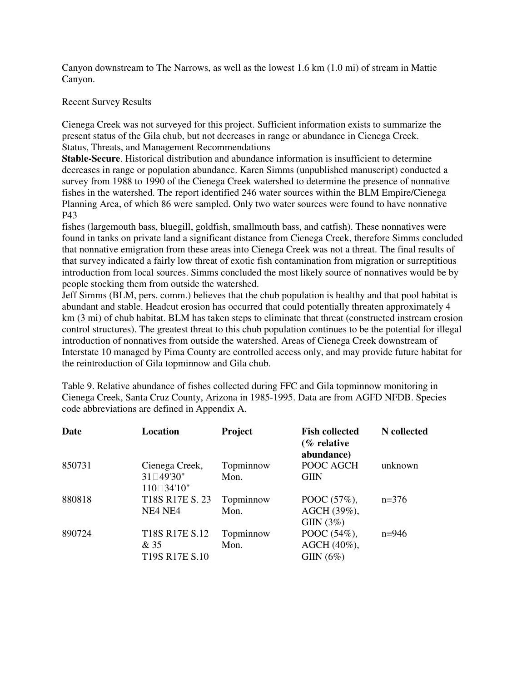Canyon downstream to The Narrows, as well as the lowest 1.6 km (1.0 mi) of stream in Mattie Canyon.

## Recent Survey Results

Cienega Creek was not surveyed for this project. Sufficient information exists to summarize the present status of the Gila chub, but not decreases in range or abundance in Cienega Creek. Status, Threats, and Management Recommendations

**Stable-Secure**. Historical distribution and abundance information is insufficient to determine decreases in range or population abundance. Karen Simms (unpublished manuscript) conducted a survey from 1988 to 1990 of the Cienega Creek watershed to determine the presence of nonnative fishes in the watershed. The report identified 246 water sources within the BLM Empire/Cienega Planning Area, of which 86 were sampled. Only two water sources were found to have nonnative P43

fishes (largemouth bass, bluegill, goldfish, smallmouth bass, and catfish). These nonnatives were found in tanks on private land a significant distance from Cienega Creek, therefore Simms concluded that nonnative emigration from these areas into Cienega Creek was not a threat. The final results of that survey indicated a fairly low threat of exotic fish contamination from migration or surreptitious introduction from local sources. Simms concluded the most likely source of nonnatives would be by people stocking them from outside the watershed.

Jeff Simms (BLM, pers. comm.) believes that the chub population is healthy and that pool habitat is abundant and stable. Headcut erosion has occurred that could potentially threaten approximately 4 km (3 mi) of chub habitat. BLM has taken steps to eliminate that threat (constructed instream erosion control structures). The greatest threat to this chub population continues to be the potential for illegal introduction of nonnatives from outside the watershed. Areas of Cienega Creek downstream of Interstate 10 managed by Pima County are controlled access only, and may provide future habitat for the reintroduction of Gila topminnow and Gila chub.

Table 9. Relative abundance of fishes collected during FFC and Gila topminnow monitoring in Cienega Creek, Santa Cruz County, Arizona in 1985-1995. Data are from AGFD NFDB. Species code abbreviations are defined in Appendix A.

| Date   | Location                                                                       | Project           | <b>Fish collected</b><br>$\frac{1}{2}$ relative<br>abundance) | N collected |
|--------|--------------------------------------------------------------------------------|-------------------|---------------------------------------------------------------|-------------|
| 850731 | Cienega Creek,<br>31 49'30"<br>110 34'10"                                      | Topminnow<br>Mon. | POOC AGCH<br><b>GIIN</b>                                      | unknown     |
| 880818 | T18S R17E S. 23<br>NE4 NE4                                                     | Topminnow<br>Mon. | POOC (57%),<br>AGCH (39%),<br>GIIN $(3\%)$                    | $n=376$     |
| 890724 | T18S R17E S.12<br>& 35<br>T <sub>19</sub> S R <sub>17</sub> E S <sub>.10</sub> | Topminnow<br>Mon. | POOC (54%),<br>AGCH (40%),<br>GIIN $(6\%)$                    | $n=946$     |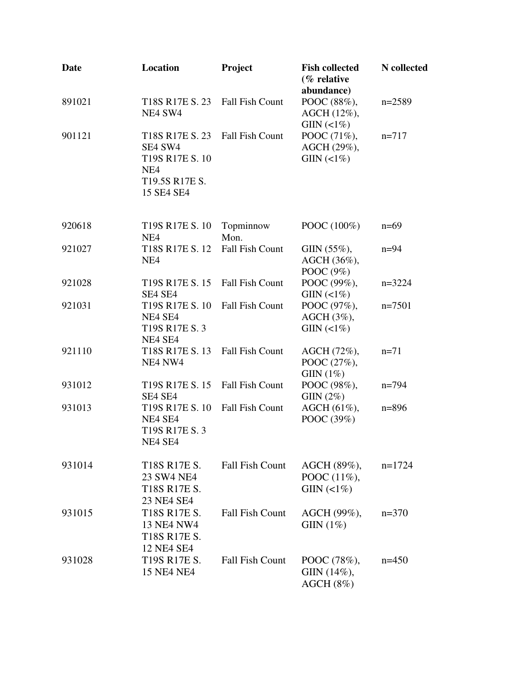| Date   | Location                                                                                         | Project                | <b>Fish collected</b><br>(% relative<br>abundance) | N collected |
|--------|--------------------------------------------------------------------------------------------------|------------------------|----------------------------------------------------|-------------|
| 891021 | T18S R17E S. 23<br>NE4 SW4                                                                       | <b>Fall Fish Count</b> | POOC (88%),<br>AGCH (12%),<br>GIN(<1%)             | $n=2589$    |
| 901121 | T18S R17E S. 23<br>SE4 SW4<br>T19S R17E S. 10<br>NE <sub>4</sub><br>T19.5S R17E S.<br>15 SE4 SE4 | <b>Fall Fish Count</b> | POOC (71%),<br>AGCH (29%),<br>GIN(<1%)             | $n = 717$   |
| 920618 | T19S R17E S. 10<br>NE <sub>4</sub>                                                               | Topminnow<br>Mon.      | POOC (100%)                                        | $n=69$      |
| 921027 | T18S R17E S. 12<br>NE <sub>4</sub>                                                               | <b>Fall Fish Count</b> | $GIN (55\%),$<br>AGCH (36%),<br>POOC (9%)          | $n=94$      |
| 921028 | T <sub>19</sub> S R <sub>17</sub> E S. 15<br>SE4 SE4                                             | <b>Fall Fish Count</b> | POOC (99%),<br>$GIN(\langle 1\% )$                 | $n=3224$    |
| 921031 | T19S R17E S. 10<br>NE4 SE4<br>T19S R17E S. 3<br>NE4 SE4                                          | <b>Fall Fish Count</b> | POOC (97%),<br>AGCH (3%),<br>$GIN(\langle 1\% )$   | $n=7501$    |
| 921110 | T18S R17E S. 13<br>NE4 NW4                                                                       | <b>Fall Fish Count</b> | AGCH (72%),<br>POOC (27%),<br>GIIN $(1\%)$         | $n=71$      |
| 931012 | T19S R17E S. 15<br>SE4 SE4                                                                       | <b>Fall Fish Count</b> | POOC (98%),<br>GIN(2%)                             | $n=794$     |
| 931013 | T19S R17E S. 10<br>NE4 SE4<br>T19S R17E S. 3<br>NE4 SE4                                          | <b>Fall Fish Count</b> | AGCH (61%),<br>POOC (39%)                          | $n = 896$   |
| 931014 | T18S R17E S.<br>23 SW4 NE4<br>T18S R17E S.<br>23 NE4 SE4                                         | <b>Fall Fish Count</b> | AGCH (89%),<br>POOC (11%),<br>GIIN $(2\%)$         | $n=1724$    |
| 931015 | T18S R17E S.<br><b>13 NE4 NW4</b><br>T18S R17E S.<br>12 NE4 SE4                                  | <b>Fall Fish Count</b> | AGCH (99%),<br>GIIN $(1\%)$                        | $n=370$     |
| 931028 | T19S R17E S.<br><b>15 NE4 NE4</b>                                                                | <b>Fall Fish Count</b> | POOC (78%),<br>GIIN (14%),<br>AGCH(8%)             | $n=450$     |